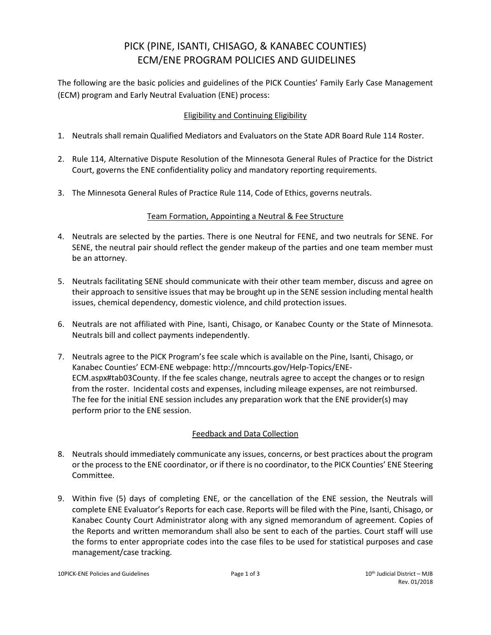# PICK (PINE, ISANTI, CHISAGO, & KANABEC COUNTIES) ECM/ENE PROGRAM POLICIES AND GUIDELINES

The following are the basic policies and guidelines of the PICK Counties' Family Early Case Management (ECM) program and Early Neutral Evaluation (ENE) process:

## Eligibility and Continuing Eligibility

- 1. Neutrals shall remain Qualified Mediators and Evaluators on the State ADR Board Rule 114 Roster.
- 2. Rule 114, Alternative Dispute Resolution of the Minnesota General Rules of Practice for the District Court, governs the ENE confidentiality policy and mandatory reporting requirements.
- 3. The Minnesota General Rules of Practice Rule 114, Code of Ethics, governs neutrals.

#### Team Formation, Appointing a Neutral & Fee Structure

- 4. Neutrals are selected by the parties. There is one Neutral for FENE, and two neutrals for SENE. For SENE, the neutral pair should reflect the gender makeup of the parties and one team member must be an attorney.
- 5. Neutrals facilitating SENE should communicate with their other team member, discuss and agree on their approach to sensitive issues that may be brought up in the SENE session including mental health issues, chemical dependency, domestic violence, and child protection issues.
- 6. Neutrals are not affiliated with Pine, Isanti, Chisago, or Kanabec County or the State of Minnesota. Neutrals bill and collect payments independently.
- 7. Neutrals agree to the PICK Program's fee scale which is available on the Pine, Isanti, Chisago, or Kanabec Counties' ECM-ENE webpage: http://mncourts.gov/Help-Topics/ENE-ECM.aspx#tab03County. If the fee scales change, neutrals agree to accept the changes or to resign from the roster. Incidental costs and expenses, including mileage expenses, are not reimbursed. The fee for the initial ENE session includes any preparation work that the ENE provider(s) may perform prior to the ENE session.

## Feedback and Data Collection

- 8. Neutrals should immediately communicate any issues, concerns, or best practices about the program or the process to the ENE coordinator, or if there is no coordinator, to the PICK Counties' ENE Steering Committee.
- 9. Within five (5) days of completing ENE, or the cancellation of the ENE session, the Neutrals will complete ENE Evaluator's Reports for each case. Reports will be filed with the Pine, Isanti, Chisago, or Kanabec County Court Administrator along with any signed memorandum of agreement. Copies of the Reports and written memorandum shall also be sent to each of the parties. Court staff will use the forms to enter appropriate codes into the case files to be used for statistical purposes and case management/case tracking.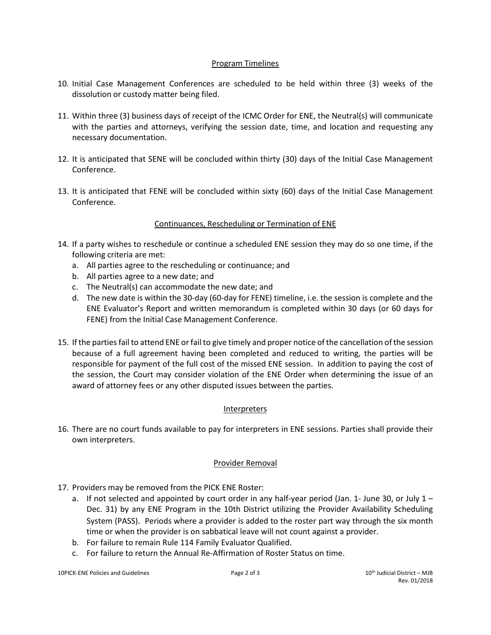#### Program Timelines

- 10. Initial Case Management Conferences are scheduled to be held within three (3) weeks of the dissolution or custody matter being filed.
- 11. Within three (3) business days of receipt of the ICMC Order for ENE, the Neutral(s) will communicate with the parties and attorneys, verifying the session date, time, and location and requesting any necessary documentation.
- 12. It is anticipated that SENE will be concluded within thirty (30) days of the Initial Case Management Conference.
- 13. It is anticipated that FENE will be concluded within sixty (60) days of the Initial Case Management Conference.

#### Continuances, Rescheduling or Termination of ENE

- 14. If a party wishes to reschedule or continue a scheduled ENE session they may do so one time, if the following criteria are met:
	- a. All parties agree to the rescheduling or continuance; and
	- b. All parties agree to a new date; and
	- c. The Neutral(s) can accommodate the new date; and
	- d. The new date is within the 30-day (60-day for FENE) timeline, i.e. the session is complete and the ENE Evaluator's Report and written memorandum is completed within 30 days (or 60 days for FENE) from the Initial Case Management Conference.
- 15. If the parties fail to attend ENE or fail to give timely and proper notice of the cancellation of the session because of a full agreement having been completed and reduced to writing, the parties will be responsible for payment of the full cost of the missed ENE session. In addition to paying the cost of the session, the Court may consider violation of the ENE Order when determining the issue of an award of attorney fees or any other disputed issues between the parties.

#### Interpreters

16. There are no court funds available to pay for interpreters in ENE sessions. Parties shall provide their own interpreters.

#### Provider Removal

- 17. Providers may be removed from the PICK ENE Roster:
	- a. If not selected and appointed by court order in any half-year period (Jan. 1- June 30, or July  $1 -$ Dec. 31) by any ENE Program in the 10th District utilizing the Provider Availability Scheduling System (PASS). Periods where a provider is added to the roster part way through the six month time or when the provider is on sabbatical leave will not count against a provider.
	- b. For failure to remain Rule 114 Family Evaluator Qualified.
	- c. For failure to return the Annual Re-Affirmation of Roster Status on time.